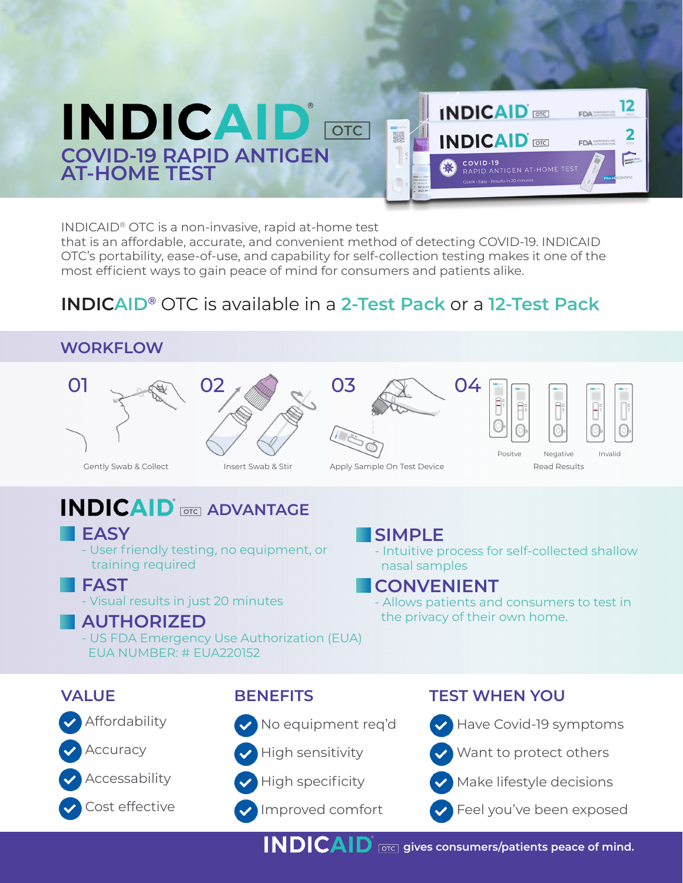

INDICAID® OTC is a non-invasive, rapid at-home test

**COVID-19 RAPID ANTIGEN**

**INDICAID** 

**AT-HOME TEST**

that is an affordable, accurate, and convenient method of detecting COVID-19. INDICAID OTC's portability, ease-of-use, and capability for self-collection testing makes it one of the most efficient ways to gain peace of mind for consumers and patients alike.

 $\overline{\text{OTC}}$ 

## **INDICAID®** OTC is available in a **2-Test Pack** or a **12-Test Pack**

#### **WORKFLOW**



## **INDICAID OTCI** ADVANTAGE

- **EASY**
	- User friendly testing, no equipment, or training required
- **FAST** - Visual results in just 20 minutes

#### **AUTHORIZED**

- US FDA Emergency Use Authorization (EUA) EUA NUMBER: # EUA220152

#### **SIMPLE**

- Intuitive process for self-collected shallow nasal samples

#### **CONVENIENT**

- Allows patients and consumers to test in the privacy of their own home.





Accessability

Cost effective

- No equipment req'd
- High sensitivity
- High specificity
- Improved comfort

#### **VALUE BENEFITS TEST WHEN YOU**







Feel you've been exposed

**INDICAID**  $\overline{\text{pre}}$  gives consumers/patients peace of mind.